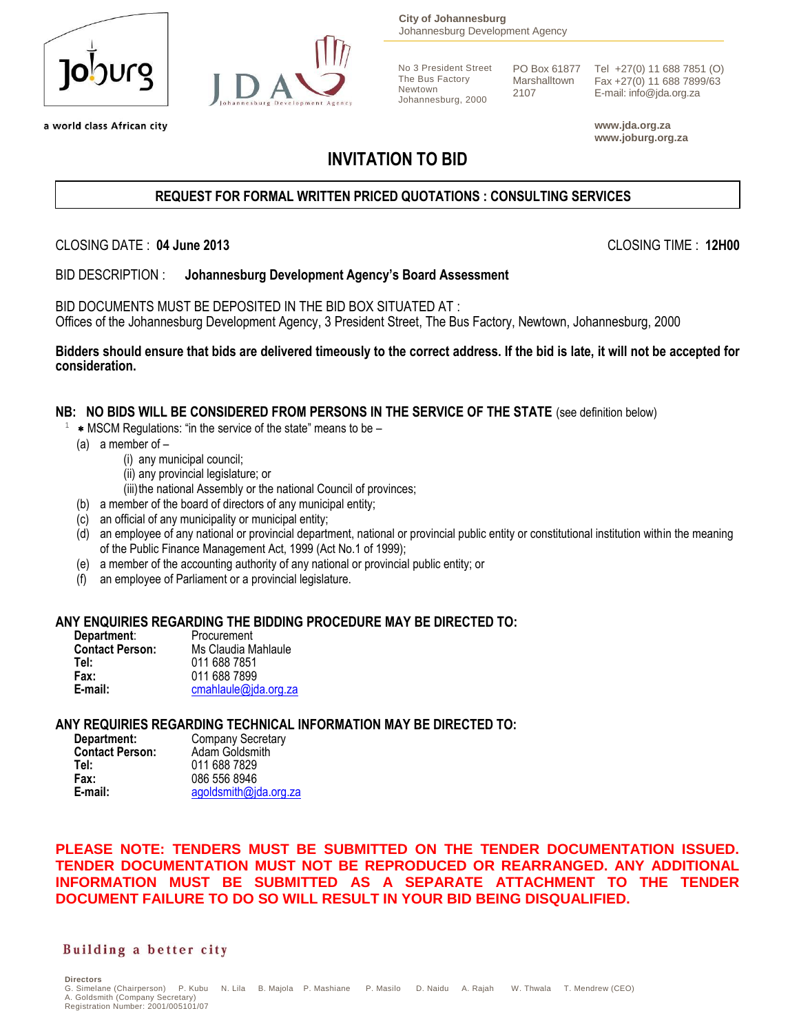| <u>lopnuco</u> |
|----------------|
|                |



a world class African city

**City of Johannesburg** Johannesburg Development Agency

No 3 President Street The Bus Factory Newtown Johannesburg, 2000

Marshalltown 2107

PO Box 61877 Tel +27(0) 11 688 7851 (O) Fax +27(0) 11 688 7899/63 E-mail: info@jda.org.za

> **www.jda.org.za www.joburg.org.za**

# **INVITATION TO BID**

### **REQUEST FOR FORMAL WRITTEN PRICED QUOTATIONS : CONSULTING SERVICES**

CLOSING DATE : **04 June 2013** CLOSING TIME : **12H00**

BID DESCRIPTION : **Johannesburg Development Agency's Board Assessment**

BID DOCUMENTS MUST BE DEPOSITED IN THE BID BOX SITUATED AT : Offices of the Johannesburg Development Agency, 3 President Street, The Bus Factory, Newtown, Johannesburg, 2000

**Bidders should ensure that bids are delivered timeously to the correct address. If the bid is late, it will not be accepted for consideration.**

#### **NB: NO BIDS WILL BE CONSIDERED FROM PERSONS IN THE SERVICE OF THE STATE** (see definition below)

- MSCM Regulations: "in the service of the state" means to be –
- (a) a member of  $-$

1

- (i) any municipal council;
- (ii) any provincial legislature; or
- (iii) the national Assembly or the national Council of provinces;
- (b) a member of the board of directors of any municipal entity;
- (c) an official of any municipality or municipal entity;
- (d) an employee of any national or provincial department, national or provincial public entity or constitutional institution within the meaning of the Public Finance Management Act, 1999 (Act No.1 of 1999);
- (e) a member of the accounting authority of any national or provincial public entity; or
- (f) an employee of Parliament or a provincial legislature.

#### **ANY ENQUIRIES REGARDING THE BIDDING PROCEDURE MAY BE DIRECTED TO:**

| Department:            | Procurement          |
|------------------------|----------------------|
| <b>Contact Person:</b> | Ms Claudia Mahlaule  |
| Tel:                   | 011 688 7851         |
| Fax:                   | 011 688 7899         |
| E-mail:                | cmahlaule@jda.org.za |

#### **ANY REQUIRIES REGARDING TECHNICAL INFORMATION MAY BE DIRECTED TO:**

| Department:            | <b>Company Secretary</b> |
|------------------------|--------------------------|
| <b>Contact Person:</b> | Adam Goldsmith           |
| Tel:                   | 011 688 7829             |
| Fax:                   | 086 556 8946             |
| E-mail:                | agoldsmith@jda.org.za    |

**PLEASE NOTE: TENDERS MUST BE SUBMITTED ON THE TENDER DOCUMENTATION ISSUED. TENDER DOCUMENTATION MUST NOT BE REPRODUCED OR REARRANGED. ANY ADDITIONAL INFORMATION MUST BE SUBMITTED AS A SEPARATE ATTACHMENT TO THE TENDER DOCUMENT FAILURE TO DO SO WILL RESULT IN YOUR BID BEING DISQUALIFIED.**

#### Building a better city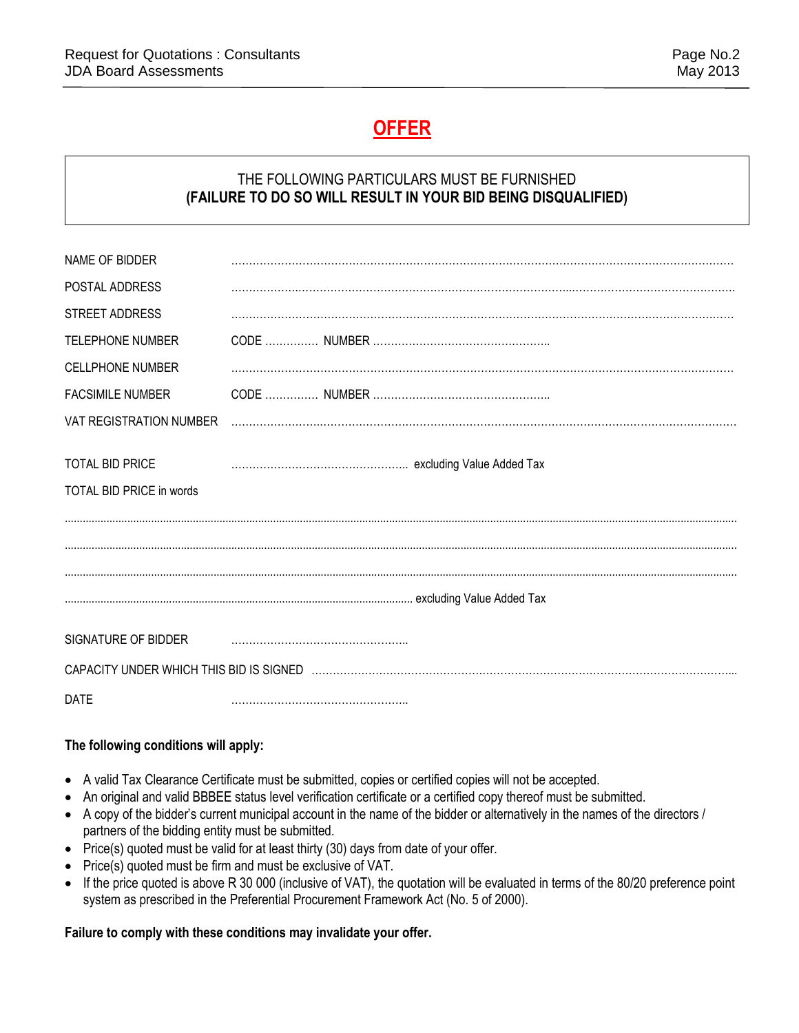# **OFFER**

### THE FOLLOWING PARTICULARS MUST BE FURNISHED **(FAILURE TO DO SO WILL RESULT IN YOUR BID BEING DISQUALIFIED)**

| NAME OF BIDDER                                     |  |
|----------------------------------------------------|--|
| POSTAL ADDRESS                                     |  |
| STREET ADDRESS                                     |  |
| <b>TELEPHONE NUMBER</b>                            |  |
| <b>CELLPHONE NUMBER</b>                            |  |
| <b>FACSIMILE NUMBER</b>                            |  |
| VAT REGISTRATION NUMBER                            |  |
| <b>TOTAL BID PRICE</b><br>TOTAL BID PRICE in words |  |
|                                                    |  |
|                                                    |  |
|                                                    |  |
| SIGNATURE OF BIDDER                                |  |
|                                                    |  |
| <b>DATE</b>                                        |  |

### **The following conditions will apply:**

- A valid Tax Clearance Certificate must be submitted, copies or certified copies will not be accepted.
- An original and valid BBBEE status level verification certificate or a certified copy thereof must be submitted.
- A copy of the bidder's current municipal account in the name of the bidder or alternatively in the names of the directors / partners of the bidding entity must be submitted.
- Price(s) quoted must be valid for at least thirty (30) days from date of your offer.
- Price(s) quoted must be firm and must be exclusive of VAT.
- If the price quoted is above R 30 000 (inclusive of VAT), the quotation will be evaluated in terms of the 80/20 preference point system as prescribed in the Preferential Procurement Framework Act (No. 5 of 2000).

### **Failure to comply with these conditions may invalidate your offer.**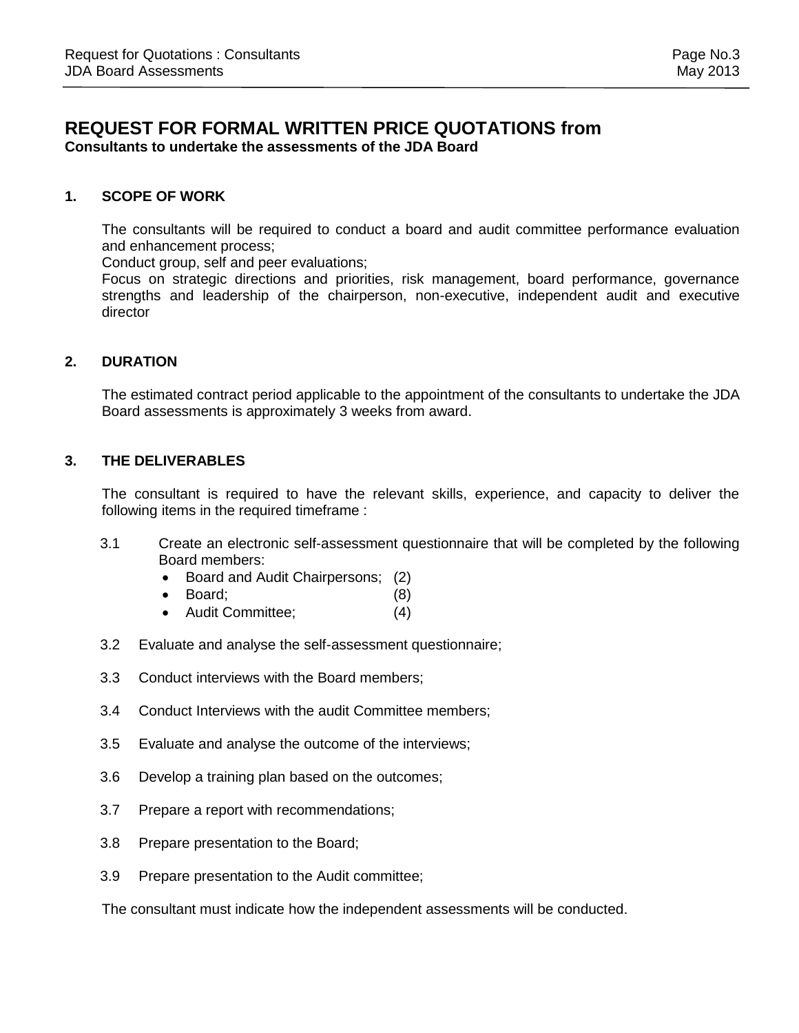### **REQUEST FOR FORMAL WRITTEN PRICE QUOTATIONS from Consultants to undertake the assessments of the JDA Board**

#### **1. SCOPE OF WORK**

The consultants will be required to conduct a board and audit committee performance evaluation and enhancement process;

Conduct group, self and peer evaluations;

Focus on strategic directions and priorities, risk management, board performance, governance strengths and leadership of the chairperson, non-executive, independent audit and executive director

#### **2. DURATION**

The estimated contract period applicable to the appointment of the consultants to undertake the JDA Board assessments is approximately 3 weeks from award.

#### **3. THE DELIVERABLES**

The consultant is required to have the relevant skills, experience, and capacity to deliver the following items in the required timeframe :

- 3.1 Create an electronic self-assessment questionnaire that will be completed by the following Board members:
	- Board and Audit Chairpersons; (2)
	- Board; (8)
	- Audit Committee; (4)
- 3.2 Evaluate and analyse the self-assessment questionnaire;
- 3.3 Conduct interviews with the Board members;
- 3.4 Conduct Interviews with the audit Committee members;
- 3.5 Evaluate and analyse the outcome of the interviews;
- 3.6 Develop a training plan based on the outcomes;
- 3.7 Prepare a report with recommendations;
- 3.8 Prepare presentation to the Board;
- 3.9 Prepare presentation to the Audit committee;

The consultant must indicate how the independent assessments will be conducted.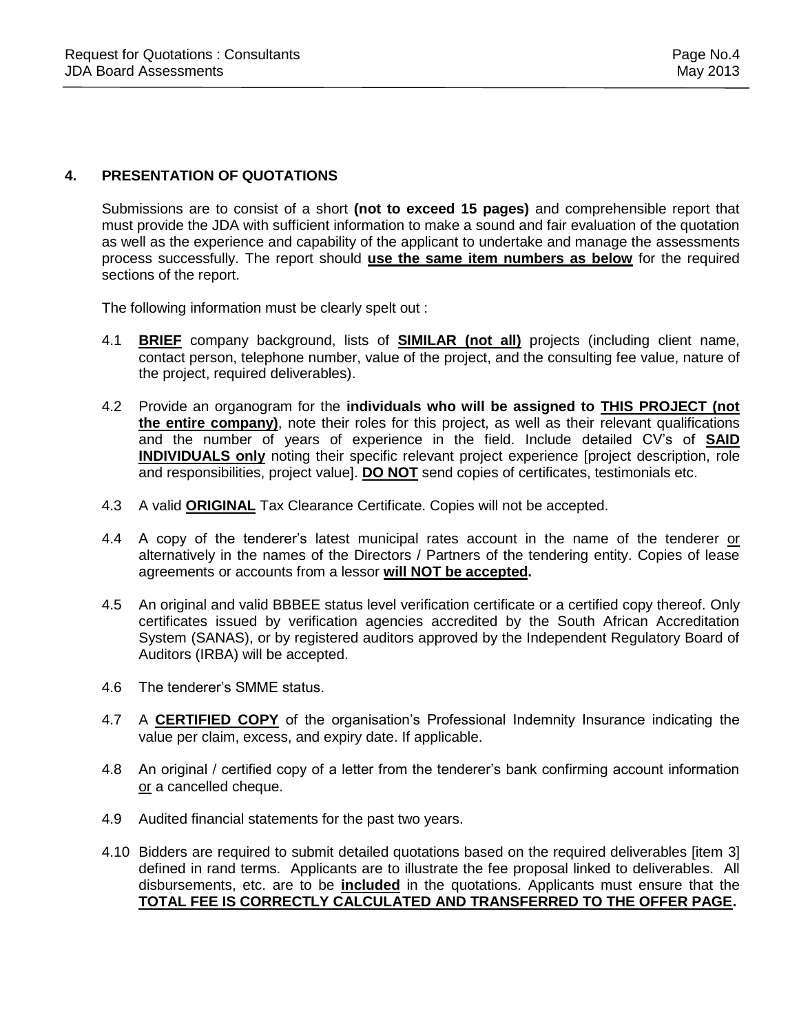#### **4. PRESENTATION OF QUOTATIONS**

Submissions are to consist of a short **(not to exceed 15 pages)** and comprehensible report that must provide the JDA with sufficient information to make a sound and fair evaluation of the quotation as well as the experience and capability of the applicant to undertake and manage the assessments process successfully. The report should **use the same item numbers as below** for the required sections of the report.

The following information must be clearly spelt out :

- 4.1 **BRIEF** company background, lists of **SIMILAR (not all)** projects (including client name, contact person, telephone number, value of the project, and the consulting fee value, nature of the project, required deliverables).
- 4.2 Provide an organogram for the **individuals who will be assigned to THIS PROJECT (not the entire company)**, note their roles for this project, as well as their relevant qualifications and the number of years of experience in the field. Include detailed CV's of **SAID INDIVIDUALS only** noting their specific relevant project experience [project description, role and responsibilities, project value]. **DO NOT** send copies of certificates, testimonials etc.
- 4.3 A valid **ORIGINAL** Tax Clearance Certificate. Copies will not be accepted.
- 4.4 A copy of the tenderer's latest municipal rates account in the name of the tenderer or alternatively in the names of the Directors / Partners of the tendering entity. Copies of lease agreements or accounts from a lessor **will NOT be accepted.**
- 4.5 An original and valid BBBEE status level verification certificate or a certified copy thereof. Only certificates issued by verification agencies accredited by the South African Accreditation System (SANAS), or by registered auditors approved by the Independent Regulatory Board of Auditors (IRBA) will be accepted.
- 4.6 The tenderer's SMME status.
- 4.7 A **CERTIFIED COPY** of the organisation's Professional Indemnity Insurance indicating the value per claim, excess, and expiry date. If applicable.
- 4.8 An original / certified copy of a letter from the tenderer's bank confirming account information or a cancelled cheque.
- 4.9 Audited financial statements for the past two years.
- 4.10 Bidders are required to submit detailed quotations based on the required deliverables [item 3] defined in rand terms. Applicants are to illustrate the fee proposal linked to deliverables. All disbursements, etc. are to be **included** in the quotations. Applicants must ensure that the **TOTAL FEE IS CORRECTLY CALCULATED AND TRANSFERRED TO THE OFFER PAGE.**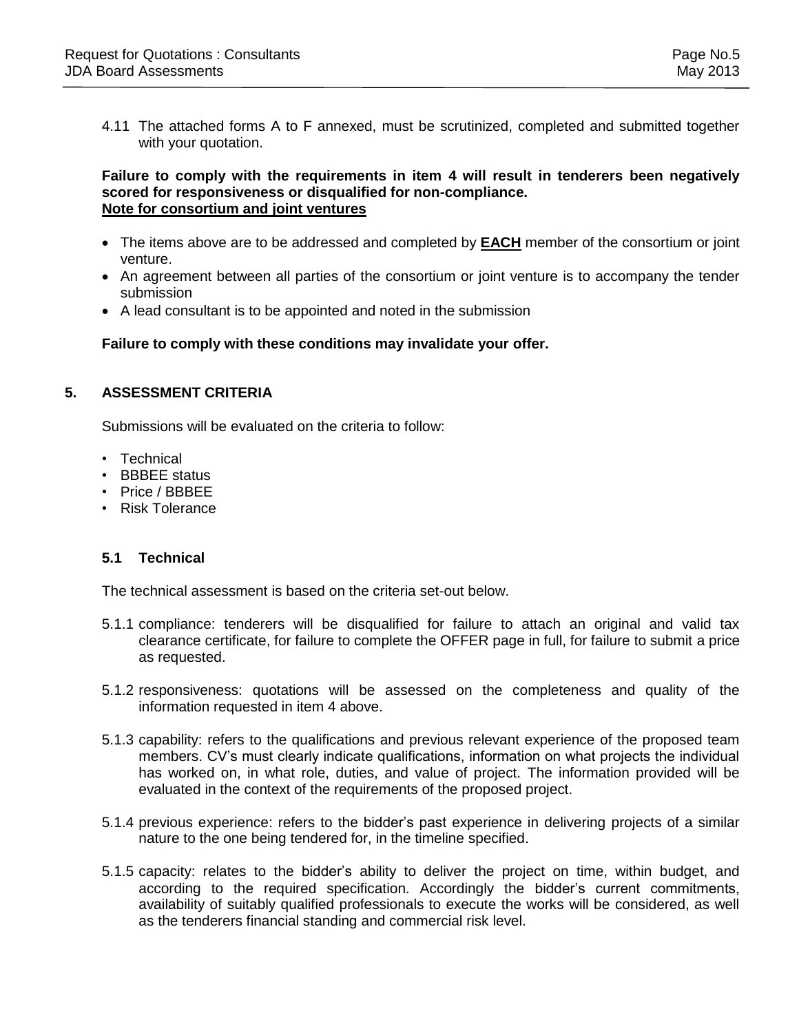4.11 The attached forms A to F annexed, must be scrutinized, completed and submitted together with your quotation.

#### **Failure to comply with the requirements in item 4 will result in tenderers been negatively scored for responsiveness or disqualified for non-compliance. Note for consortium and joint ventures**

- The items above are to be addressed and completed by **EACH** member of the consortium or joint venture.
- An agreement between all parties of the consortium or joint venture is to accompany the tender submission
- A lead consultant is to be appointed and noted in the submission

**Failure to comply with these conditions may invalidate your offer.**

#### **5. ASSESSMENT CRITERIA**

Submissions will be evaluated on the criteria to follow:

- Technical
- BBBEE status
- Price / BBBEE
- Risk Tolerance

#### **5.1 Technical**

The technical assessment is based on the criteria set-out below.

- 5.1.1 compliance: tenderers will be disqualified for failure to attach an original and valid tax clearance certificate, for failure to complete the OFFER page in full, for failure to submit a price as requested.
- 5.1.2 responsiveness: quotations will be assessed on the completeness and quality of the information requested in item 4 above.
- 5.1.3 capability: refers to the qualifications and previous relevant experience of the proposed team members. CV's must clearly indicate qualifications, information on what projects the individual has worked on, in what role, duties, and value of project. The information provided will be evaluated in the context of the requirements of the proposed project.
- 5.1.4 previous experience: refers to the bidder's past experience in delivering projects of a similar nature to the one being tendered for, in the timeline specified.
- 5.1.5 capacity: relates to the bidder's ability to deliver the project on time, within budget, and according to the required specification. Accordingly the bidder's current commitments, availability of suitably qualified professionals to execute the works will be considered, as well as the tenderers financial standing and commercial risk level.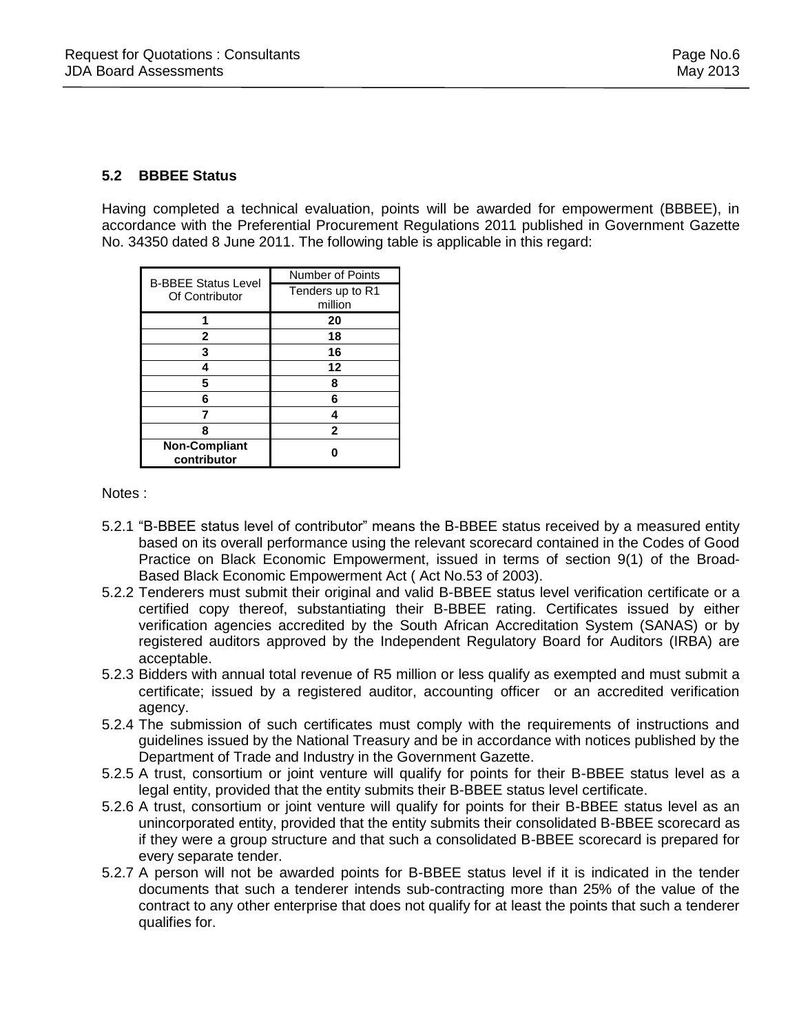### **5.2 BBBEE Status**

Having completed a technical evaluation, points will be awarded for empowerment (BBBEE), in accordance with the Preferential Procurement Regulations 2011 published in Government Gazette No. 34350 dated 8 June 2011. The following table is applicable in this regard:

| <b>B-BBEE Status Level</b><br>Of Contributor | <b>Number of Points</b> |
|----------------------------------------------|-------------------------|
|                                              | Tenders up to R1        |
|                                              | million                 |
|                                              | 20                      |
| 2                                            | 18                      |
| 3                                            | 16                      |
|                                              | 12                      |
| 5                                            | 8                       |
| 6                                            | 6                       |
|                                              |                         |
| 8                                            | $\mathbf{2}$            |
| <b>Non-Compliant</b><br>contributor          |                         |

Notes :

- 5.2.1 "B-BBEE status level of contributor" means the B-BBEE status received by a measured entity based on its overall performance using the relevant scorecard contained in the Codes of Good Practice on Black Economic Empowerment, issued in terms of section 9(1) of the Broad-Based Black Economic Empowerment Act ( Act No.53 of 2003).
- 5.2.2 Tenderers must submit their original and valid B-BBEE status level verification certificate or a certified copy thereof, substantiating their B-BBEE rating. Certificates issued by either verification agencies accredited by the South African Accreditation System (SANAS) or by registered auditors approved by the Independent Regulatory Board for Auditors (IRBA) are acceptable.
- 5.2.3 Bidders with annual total revenue of R5 million or less qualify as exempted and must submit a certificate; issued by a registered auditor, accounting officer or an accredited verification agency.
- 5.2.4 The submission of such certificates must comply with the requirements of instructions and guidelines issued by the National Treasury and be in accordance with notices published by the Department of Trade and Industry in the Government Gazette.
- 5.2.5 A trust, consortium or joint venture will qualify for points for their B-BBEE status level as a legal entity, provided that the entity submits their B-BBEE status level certificate.
- 5.2.6 A trust, consortium or joint venture will qualify for points for their B-BBEE status level as an unincorporated entity, provided that the entity submits their consolidated B-BBEE scorecard as if they were a group structure and that such a consolidated B-BBEE scorecard is prepared for every separate tender.
- 5.2.7 A person will not be awarded points for B-BBEE status level if it is indicated in the tender documents that such a tenderer intends sub-contracting more than 25% of the value of the contract to any other enterprise that does not qualify for at least the points that such a tenderer qualifies for.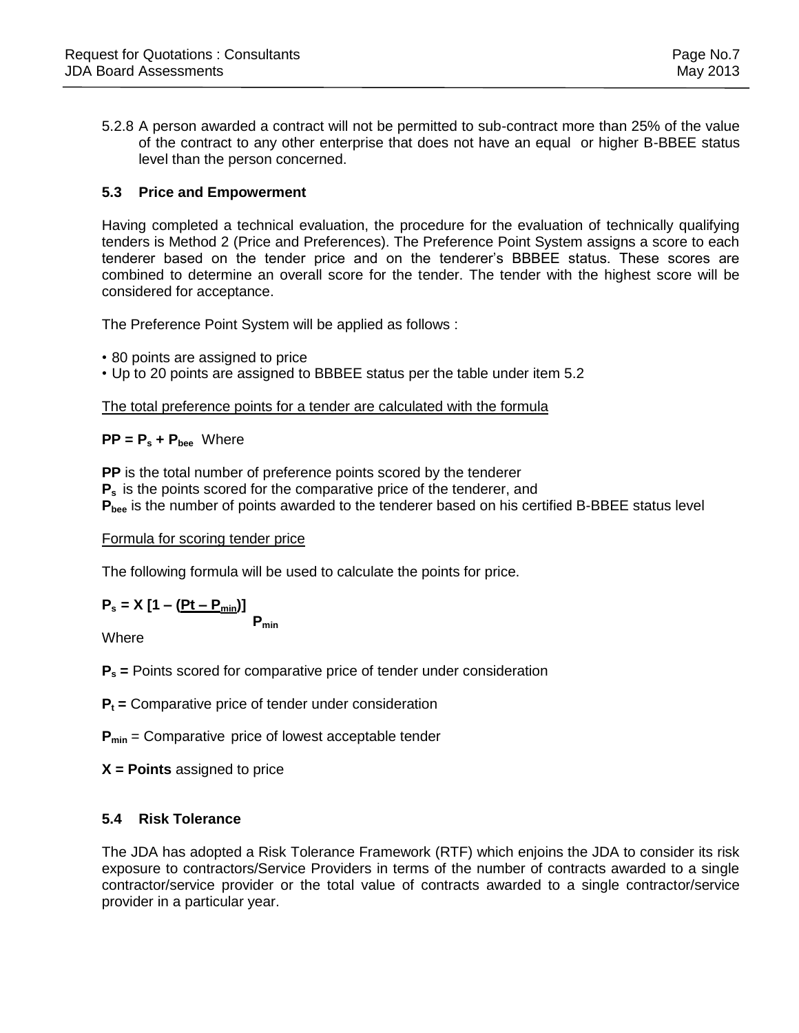5.2.8 A person awarded a contract will not be permitted to sub-contract more than 25% of the value of the contract to any other enterprise that does not have an equal or higher B-BBEE status level than the person concerned.

### **5.3 Price and Empowerment**

Having completed a technical evaluation, the procedure for the evaluation of technically qualifying tenders is Method 2 (Price and Preferences). The Preference Point System assigns a score to each tenderer based on the tender price and on the tenderer's BBBEE status. These scores are combined to determine an overall score for the tender. The tender with the highest score will be considered for acceptance.

The Preference Point System will be applied as follows :

- 80 points are assigned to price
- Up to 20 points are assigned to BBBEE status per the table under item 5.2

#### The total preference points for a tender are calculated with the formula

### **PP = P<sup>s</sup> + Pbee** Where

**PP** is the total number of preference points scored by the tenderer

**P<sup>s</sup>** is the points scored for the comparative price of the tenderer, and

**Pbee** is the number of points awarded to the tenderer based on his certified B-BBEE status level

Formula for scoring tender price

The following formula will be used to calculate the points for price.

$$
P_s = X [1 - (Pt - P_{min})]
$$

**Pmin**

Where

**P<sup>s</sup> =** Points scored for comparative price of tender under consideration

**P<sup>t</sup> =** Comparative price of tender under consideration

**Pmin** = Comparative price of lowest acceptable tender

**X = Points** assigned to price

### **5.4 Risk Tolerance**

The JDA has adopted a Risk Tolerance Framework (RTF) which enjoins the JDA to consider its risk exposure to contractors/Service Providers in terms of the number of contracts awarded to a single contractor/service provider or the total value of contracts awarded to a single contractor/service provider in a particular year.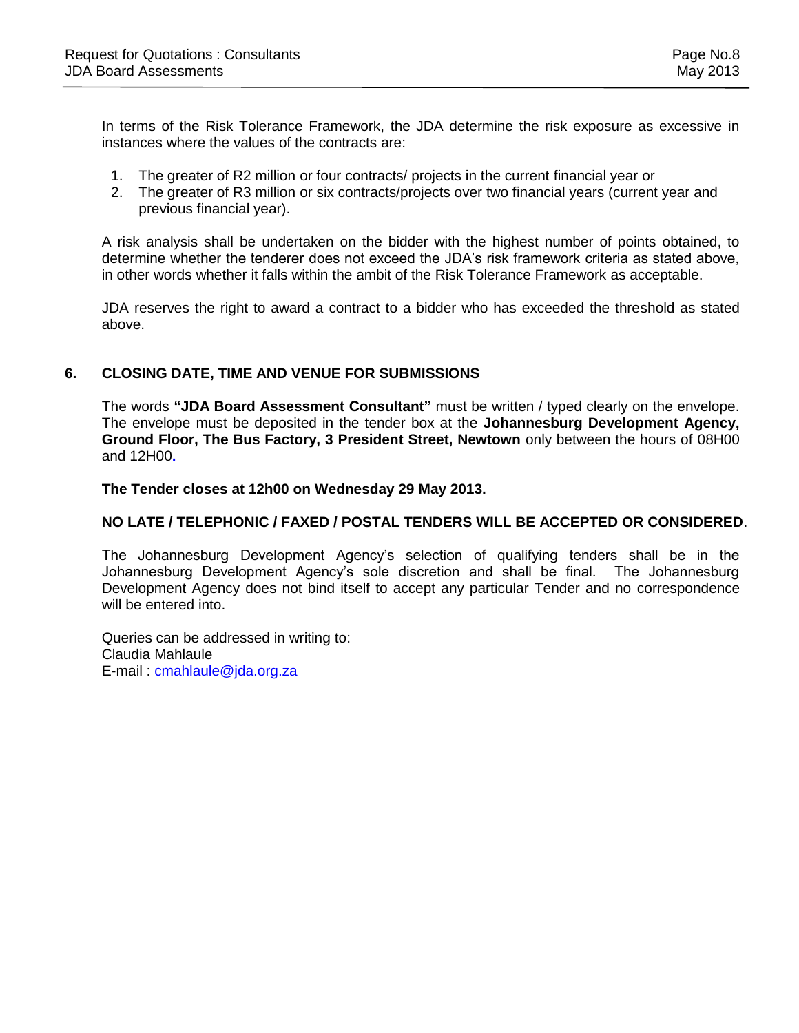In terms of the Risk Tolerance Framework, the JDA determine the risk exposure as excessive in instances where the values of the contracts are:

- 1. The greater of R2 million or four contracts/ projects in the current financial year or
- 2. The greater of R3 million or six contracts/projects over two financial years (current year and previous financial year).

A risk analysis shall be undertaken on the bidder with the highest number of points obtained, to determine whether the tenderer does not exceed the JDA's risk framework criteria as stated above, in other words whether it falls within the ambit of the Risk Tolerance Framework as acceptable.

JDA reserves the right to award a contract to a bidder who has exceeded the threshold as stated above.

#### **6. CLOSING DATE, TIME AND VENUE FOR SUBMISSIONS**

The words **"JDA Board Assessment Consultant"** must be written / typed clearly on the envelope. The envelope must be deposited in the tender box at the **Johannesburg Development Agency, Ground Floor, The Bus Factory, 3 President Street, Newtown** only between the hours of 08H00 and 12H00**.** 

**The Tender closes at 12h00 on Wednesday 29 May 2013.** 

#### **NO LATE / TELEPHONIC / FAXED / POSTAL TENDERS WILL BE ACCEPTED OR CONSIDERED**.

The Johannesburg Development Agency's selection of qualifying tenders shall be in the Johannesburg Development Agency's sole discretion and shall be final. The Johannesburg Development Agency does not bind itself to accept any particular Tender and no correspondence will be entered into.

Queries can be addressed in writing to: Claudia Mahlaule E-mail : [cmahlaule@jda.org.za](mailto:cmahlaule@jda.org.za)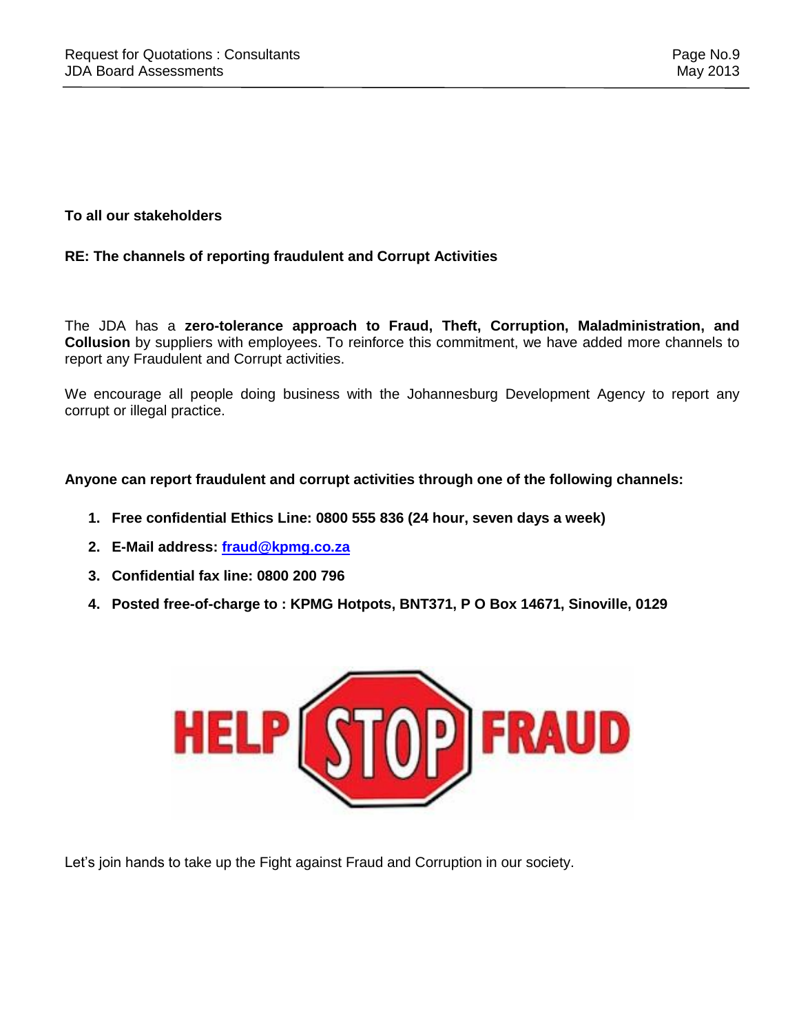### **To all our stakeholders**

### **RE: The channels of reporting fraudulent and Corrupt Activities**

The JDA has a **zero-tolerance approach to Fraud, Theft, Corruption, Maladministration, and Collusion** by suppliers with employees. To reinforce this commitment, we have added more channels to report any Fraudulent and Corrupt activities.

We encourage all people doing business with the Johannesburg Development Agency to report any corrupt or illegal practice.

#### **Anyone can report fraudulent and corrupt activities through one of the following channels:**

- **1. Free confidential Ethics Line: 0800 555 836 (24 hour, seven days a week)**
- **2. E-Mail address: [fraud@kpmg.co.za](mailto:fraud@kpmg.co.za)**
- **3. Confidential fax line: 0800 200 796**
- **4. Posted free-of-charge to : KPMG Hotpots, BNT371, P O Box 14671, Sinoville, 0129**



Let's join hands to take up the Fight against Fraud and Corruption in our society.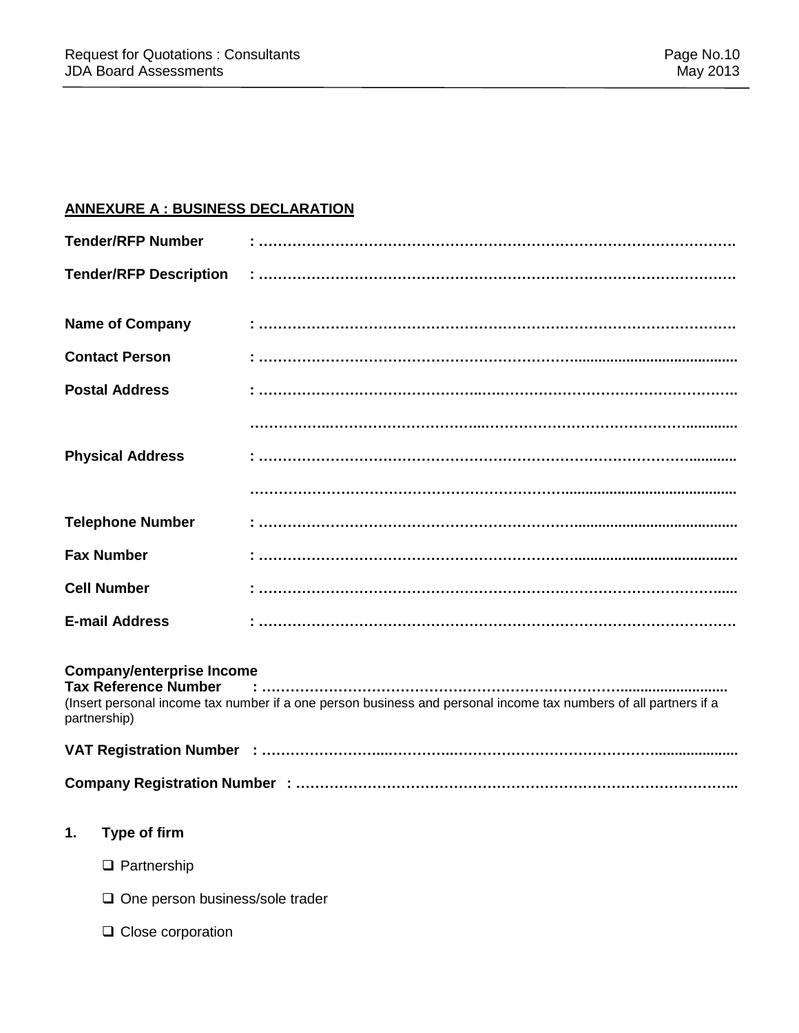### **ANNEXURE A : BUSINESS DECLARATION**

|    | <b>Tender/RFP Number</b>                                                        |                                                                                                                  |
|----|---------------------------------------------------------------------------------|------------------------------------------------------------------------------------------------------------------|
|    | <b>Tender/RFP Description</b>                                                   |                                                                                                                  |
|    | <b>Name of Company</b>                                                          |                                                                                                                  |
|    | <b>Contact Person</b>                                                           |                                                                                                                  |
|    | <b>Postal Address</b>                                                           |                                                                                                                  |
|    |                                                                                 |                                                                                                                  |
|    | <b>Physical Address</b>                                                         |                                                                                                                  |
|    |                                                                                 |                                                                                                                  |
|    | <b>Telephone Number</b>                                                         |                                                                                                                  |
|    | <b>Fax Number</b>                                                               |                                                                                                                  |
|    | <b>Cell Number</b>                                                              |                                                                                                                  |
|    | <b>E-mail Address</b>                                                           |                                                                                                                  |
|    | <b>Company/enterprise Income</b><br><b>Tax Reference Number</b><br>partnership) | (Insert personal income tax number if a one person business and personal income tax numbers of all partners if a |
|    |                                                                                 |                                                                                                                  |
|    |                                                                                 |                                                                                                                  |
| 1. | <b>Type of firm</b>                                                             |                                                                                                                  |
|    | $\Box$ Partnership                                                              |                                                                                                                  |
|    | One person business/sole trader                                                 |                                                                                                                  |

 $\square$  Close corporation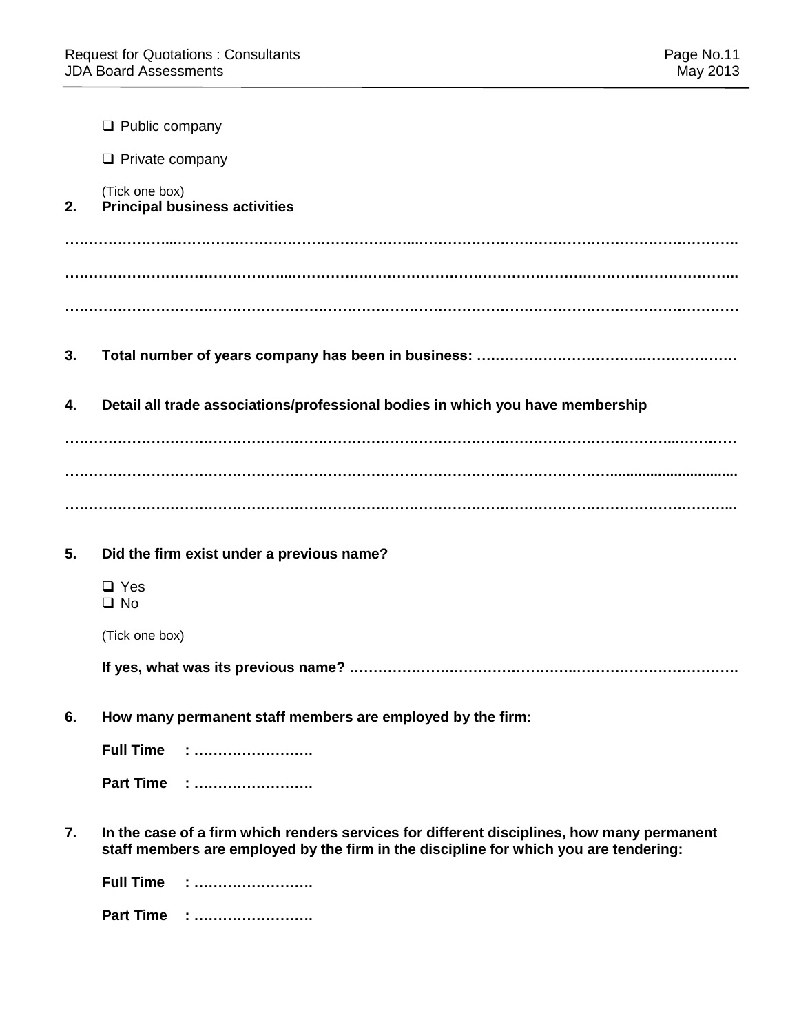|    | $\Box$ Public company                                                                                                                                                               |
|----|-------------------------------------------------------------------------------------------------------------------------------------------------------------------------------------|
|    | $\Box$ Private company                                                                                                                                                              |
| 2. | (Tick one box)<br><b>Principal business activities</b>                                                                                                                              |
|    |                                                                                                                                                                                     |
|    |                                                                                                                                                                                     |
|    |                                                                                                                                                                                     |
| 3. |                                                                                                                                                                                     |
| 4. | Detail all trade associations/professional bodies in which you have membership                                                                                                      |
|    |                                                                                                                                                                                     |
|    |                                                                                                                                                                                     |
|    |                                                                                                                                                                                     |
| 5. | Did the firm exist under a previous name?                                                                                                                                           |
|    | $\Box$ Yes<br>$\square$ No                                                                                                                                                          |
|    | (Tick one box)                                                                                                                                                                      |
|    |                                                                                                                                                                                     |
| 6. | How many permanent staff members are employed by the firm:                                                                                                                          |
|    | <b>Full Time</b>                                                                                                                                                                    |
|    | Part Time :                                                                                                                                                                         |
| 7. | In the case of a firm which renders services for different disciplines, how many permanent<br>staff members are employed by the firm in the discipline for which you are tendering: |
|    | <b>Full Time : </b>                                                                                                                                                                 |
|    |                                                                                                                                                                                     |

**Part Time : …………………….**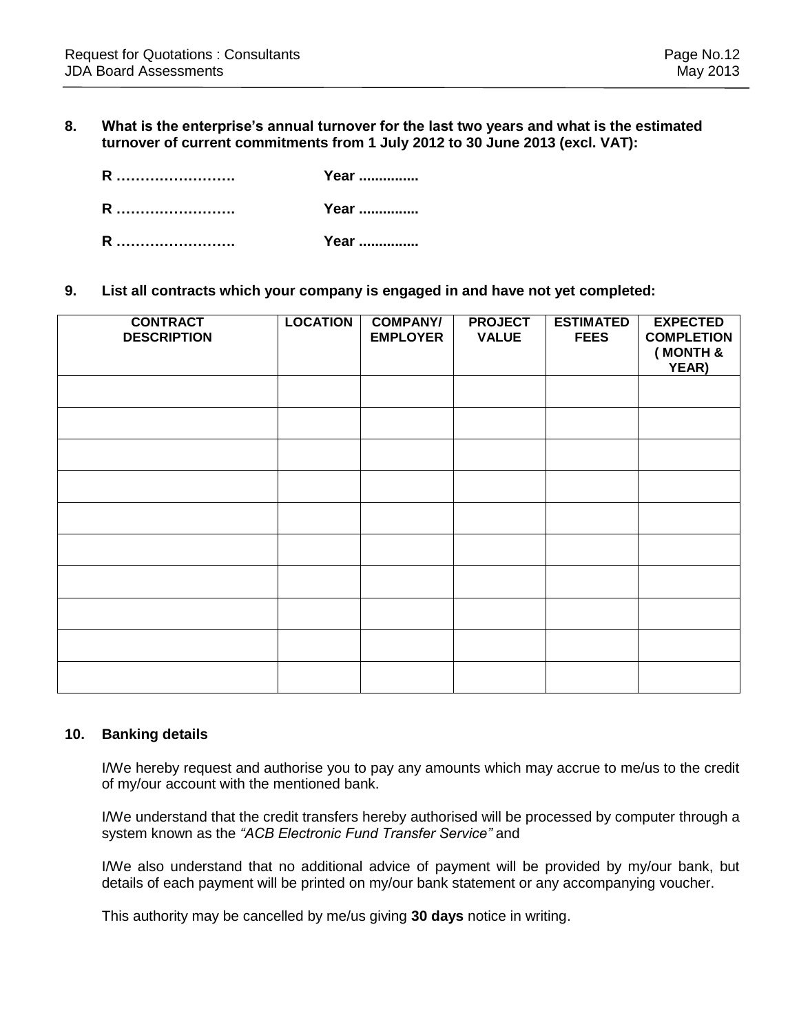#### **8. What is the enterprise's annual turnover for the last two years and what is the estimated turnover of current commitments from 1 July 2012 to 30 June 2013 (excl. VAT):**

| R | Year |
|---|------|
| R | Year |
| R | Year |

#### **9. List all contracts which your company is engaged in and have not yet completed:**

| <b>CONTRACT</b><br><b>DESCRIPTION</b> | <b>LOCATION</b> | <b>COMPANY/</b><br><b>EMPLOYER</b> | <b>PROJECT</b><br><b>VALUE</b> | <b>ESTIMATED</b><br><b>FEES</b> | <b>EXPECTED</b><br><b>COMPLETION</b><br>(MONTH &<br>YEAR) |
|---------------------------------------|-----------------|------------------------------------|--------------------------------|---------------------------------|-----------------------------------------------------------|
|                                       |                 |                                    |                                |                                 |                                                           |
|                                       |                 |                                    |                                |                                 |                                                           |
|                                       |                 |                                    |                                |                                 |                                                           |
|                                       |                 |                                    |                                |                                 |                                                           |
|                                       |                 |                                    |                                |                                 |                                                           |
|                                       |                 |                                    |                                |                                 |                                                           |
|                                       |                 |                                    |                                |                                 |                                                           |
|                                       |                 |                                    |                                |                                 |                                                           |
|                                       |                 |                                    |                                |                                 |                                                           |
|                                       |                 |                                    |                                |                                 |                                                           |

#### **10. Banking details**

I/We hereby request and authorise you to pay any amounts which may accrue to me/us to the credit of my/our account with the mentioned bank.

I/We understand that the credit transfers hereby authorised will be processed by computer through a system known as the *"ACB Electronic Fund Transfer Service"* and

I/We also understand that no additional advice of payment will be provided by my/our bank, but details of each payment will be printed on my/our bank statement or any accompanying voucher.

This authority may be cancelled by me/us giving **30 days** notice in writing.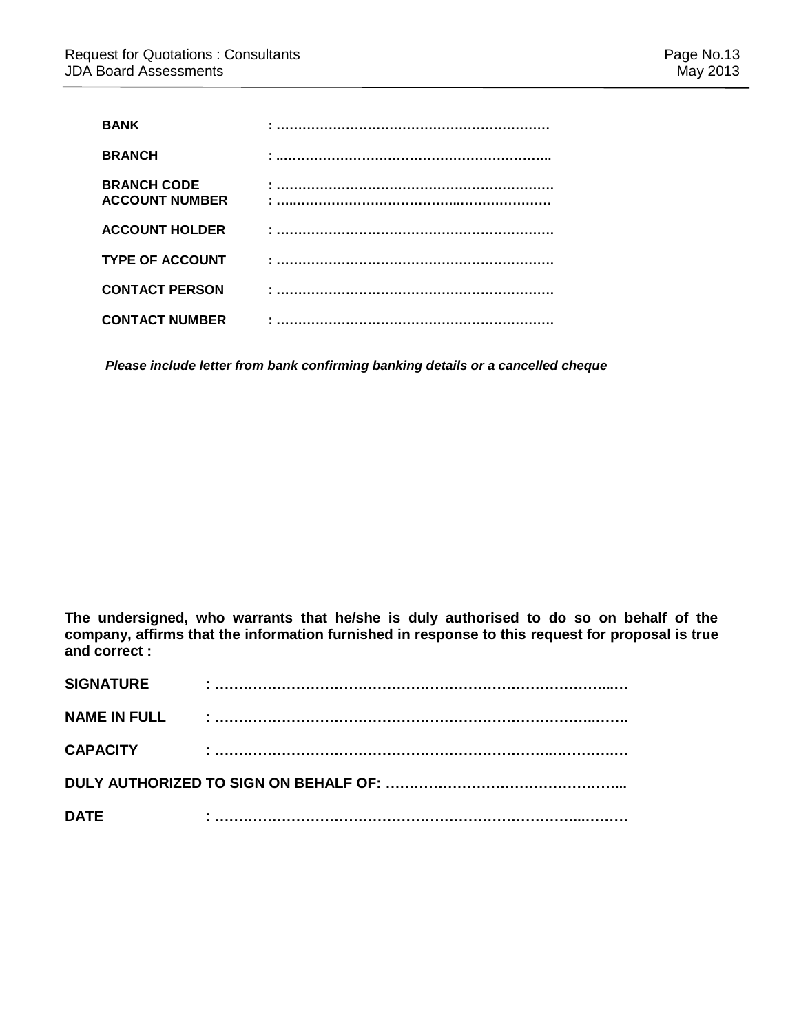| <b>BANK</b>                                 |  |
|---------------------------------------------|--|
| <b>BRANCH</b>                               |  |
| <b>BRANCH CODE</b><br><b>ACCOUNT NUMBER</b> |  |
| <b>ACCOUNT HOLDER</b>                       |  |
| <b>TYPE OF ACCOUNT</b>                      |  |
| <b>CONTACT PERSON</b>                       |  |
| <b>CONTACT NUMBER</b>                       |  |

*Please include letter from bank confirming banking details or a cancelled cheque*

**The undersigned, who warrants that he/she is duly authorised to do so on behalf of the company, affirms that the information furnished in response to this request for proposal is true and correct :**

| <b>SIGNATURE</b>    |  |  |  |  |
|---------------------|--|--|--|--|
| <b>NAME IN FULL</b> |  |  |  |  |
| <b>CAPACITY</b>     |  |  |  |  |
|                     |  |  |  |  |
| <b>DATE</b>         |  |  |  |  |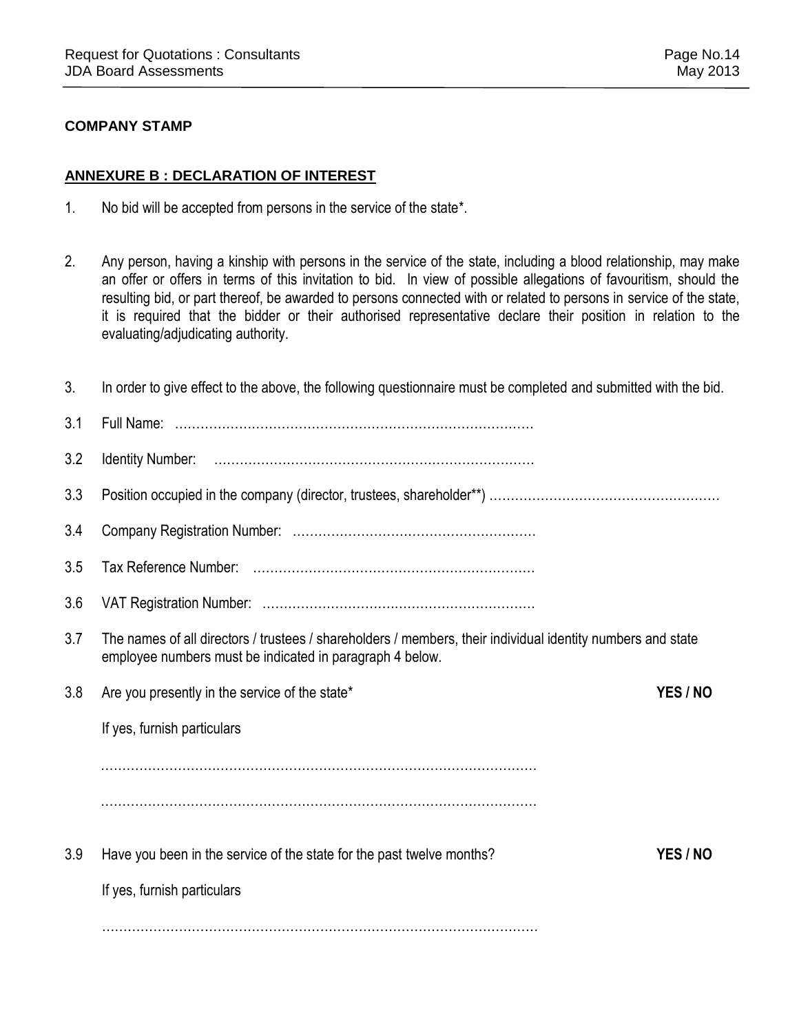### **COMPANY STAMP**

### **ANNEXURE B : DECLARATION OF INTEREST**

- 1. No bid will be accepted from persons in the service of the state\*.
- 2. Any person, having a kinship with persons in the service of the state, including a blood relationship, may make an offer or offers in terms of this invitation to bid. In view of possible allegations of favouritism, should the resulting bid, or part thereof, be awarded to persons connected with or related to persons in service of the state, it is required that the bidder or their authorised representative declare their position in relation to the evaluating/adjudicating authority.

| 3.  | In order to give effect to the above, the following questionnaire must be completed and submitted with the bid.                                                         |          |
|-----|-------------------------------------------------------------------------------------------------------------------------------------------------------------------------|----------|
| 3.1 |                                                                                                                                                                         |          |
| 3.2 |                                                                                                                                                                         |          |
| 3.3 |                                                                                                                                                                         |          |
| 3.4 |                                                                                                                                                                         |          |
| 3.5 |                                                                                                                                                                         |          |
| 3.6 |                                                                                                                                                                         |          |
| 3.7 | The names of all directors / trustees / shareholders / members, their individual identity numbers and state<br>employee numbers must be indicated in paragraph 4 below. |          |
| 3.8 | Are you presently in the service of the state*                                                                                                                          | YES / NO |
|     | If yes, furnish particulars                                                                                                                                             |          |
|     |                                                                                                                                                                         |          |
|     |                                                                                                                                                                         |          |
| 3.9 | Have you been in the service of the state for the past twelve months?                                                                                                   | YES / NO |
|     | If yes, furnish particulars                                                                                                                                             |          |
|     |                                                                                                                                                                         |          |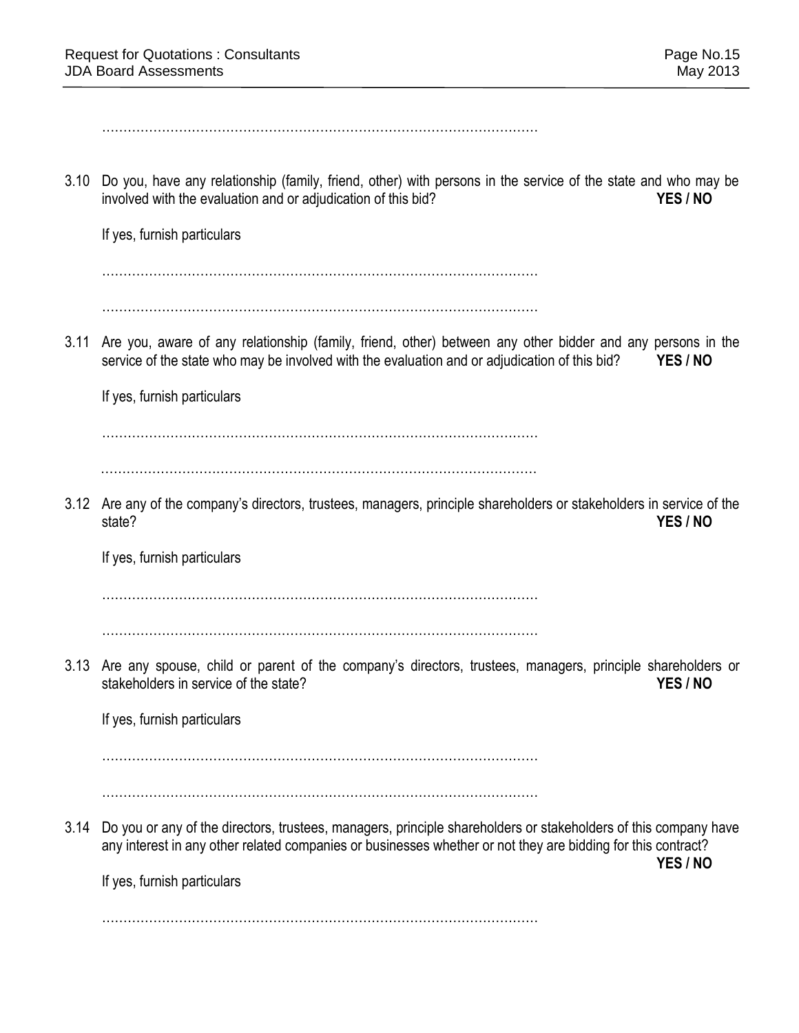………………………………………………………………………………………… 3.10 Do you, have any relationship (family, friend, other) with persons in the service of the state and who may be involved with the evaluation and or adjudication of this bid? **YES / NO** If yes, furnish particulars ………………………………………………………………………………………… ………………………………………………………………………………………… 3.11 Are you, aware of any relationship (family, friend, other) between any other bidder and any persons in the service of the state who may be involved with the evaluation and or adjudication of this bid? **YES / NO** If yes, furnish particulars ………………………………………………………………………………………… ………………………………………………………………………………………… 3.12 Are any of the company's directors, trustees, managers, principle shareholders or stakeholders in service of the state? **YES / NO** If yes, furnish particulars ………………………………………………………………………………………… ………………………………………………………………………………………… 3.13 Are any spouse, child or parent of the company's directors, trustees, managers, principle shareholders or stakeholders in service of the state? **YES / NO** If yes, furnish particulars ………………………………………………………………………………………… ………………………………………………………………………………………… 3.14 Do you or any of the directors, trustees, managers, principle shareholders or stakeholders of this company have any interest in any other related companies or businesses whether or not they are bidding for this contract? **YES / NO** If yes, furnish particulars …………………………………………………………………………………………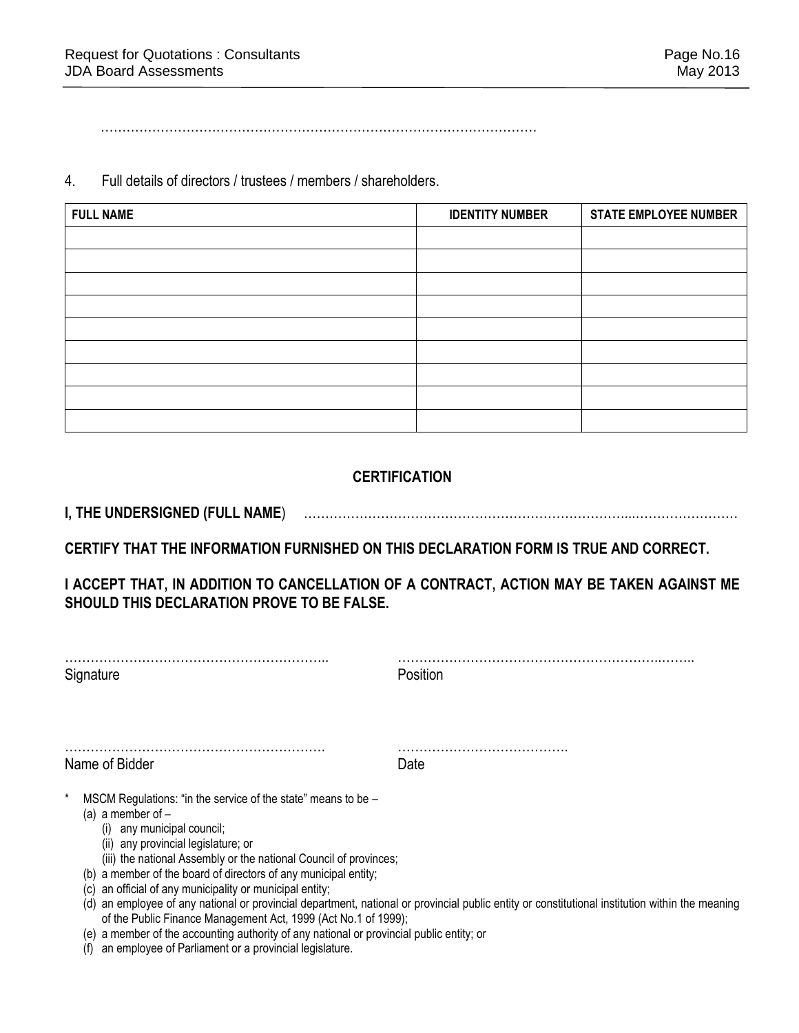…………………………………………………………………………………………

4. Full details of directors / trustees / members / shareholders.

| <b>FULL NAME</b> | <b>IDENTITY NUMBER</b> | <b>STATE EMPLOYEE NUMBER</b> |
|------------------|------------------------|------------------------------|
|                  |                        |                              |
|                  |                        |                              |
|                  |                        |                              |
|                  |                        |                              |
|                  |                        |                              |
|                  |                        |                              |
|                  |                        |                              |
|                  |                        |                              |
|                  |                        |                              |

### **CERTIFICATION**

**I, THE UNDERSIGNED (FULL NAME**) …………………………………………………………………...……………………

**CERTIFY THAT THE INFORMATION FURNISHED ON THIS DECLARATION FORM IS TRUE AND CORRECT.** 

**I ACCEPT THAT, IN ADDITION TO CANCELLATION OF A CONTRACT, ACTION MAY BE TAKEN AGAINST ME SHOULD THIS DECLARATION PROVE TO BE FALSE.** 

| Signature                                                                                                                                                                                                                                                                                                                                                                                                                                                                                                                                | Position                                                                                                                                    |  |
|------------------------------------------------------------------------------------------------------------------------------------------------------------------------------------------------------------------------------------------------------------------------------------------------------------------------------------------------------------------------------------------------------------------------------------------------------------------------------------------------------------------------------------------|---------------------------------------------------------------------------------------------------------------------------------------------|--|
| Name of Bidder                                                                                                                                                                                                                                                                                                                                                                                                                                                                                                                           | Date                                                                                                                                        |  |
| MSCM Regulations: "in the service of the state" means to be -<br>(a) a member of $-$<br>any municipal council;<br>(i)<br>(ii) any provincial legislature; or<br>(iii) the national Assembly or the national Council of provinces;<br>(b) a member of the board of directors of any municipal entity;<br>an official of any municipality or municipal entity;<br>(C)<br>(d)<br>of the Public Finance Management Act, 1999 (Act No.1 of 1999);<br>(e) a member of the accounting authority of any national or provincial public entity; or | an employee of any national or provincial department, national or provincial public entity or constitutional institution within the meaning |  |

(f) an employee of Parliament or a provincial legislature.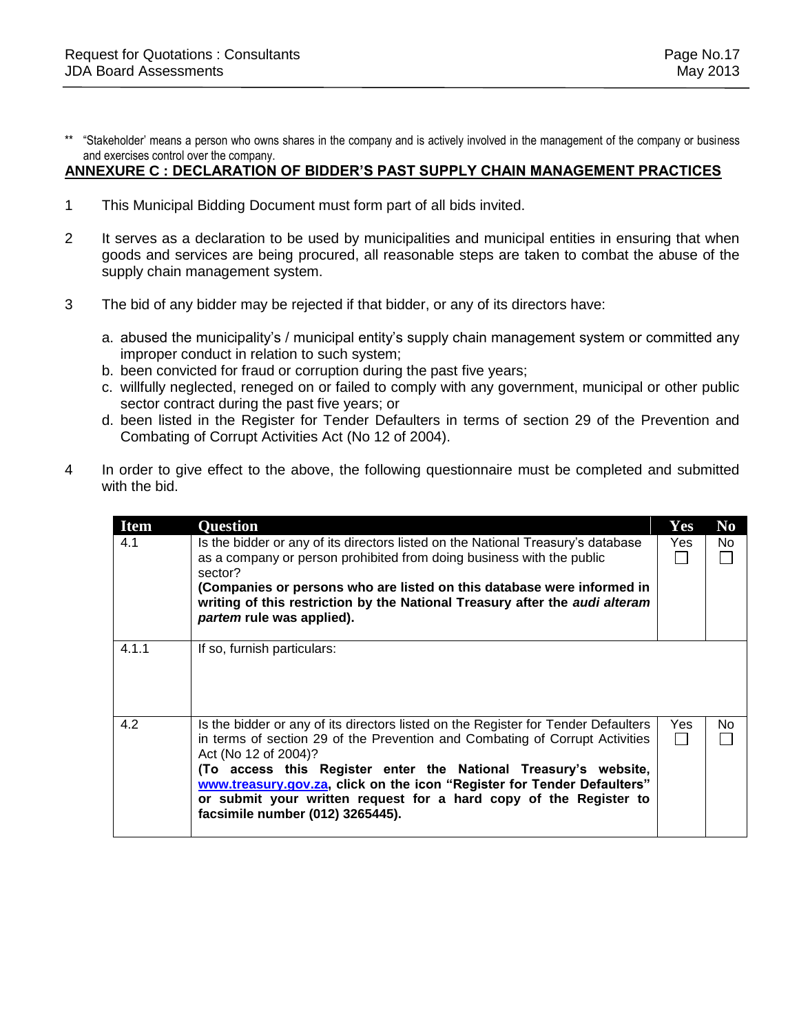\*\* "Stakeholder' means a person who owns shares in the company and is actively involved in the management of the company or business and exercises control over the company.

### **ANNEXURE C : DECLARATION OF BIDDER'S PAST SUPPLY CHAIN MANAGEMENT PRACTICES**

- 1 This Municipal Bidding Document must form part of all bids invited.
- 2 It serves as a declaration to be used by municipalities and municipal entities in ensuring that when goods and services are being procured, all reasonable steps are taken to combat the abuse of the supply chain management system.
- 3 The bid of any bidder may be rejected if that bidder, or any of its directors have:
	- a. abused the municipality's / municipal entity's supply chain management system or committed any improper conduct in relation to such system;
	- b. been convicted for fraud or corruption during the past five years;
	- c. willfully neglected, reneged on or failed to comply with any government, municipal or other public sector contract during the past five years; or
	- d. been listed in the Register for Tender Defaulters in terms of section 29 of the Prevention and Combating of Corrupt Activities Act (No 12 of 2004).
- 4 In order to give effect to the above, the following questionnaire must be completed and submitted with the bid.

| <b>Item</b> | <b>Question</b>                                                                                                                                                                                                                                                                                                                                                                                                                                   | Yes        | N <sub>0</sub> |
|-------------|---------------------------------------------------------------------------------------------------------------------------------------------------------------------------------------------------------------------------------------------------------------------------------------------------------------------------------------------------------------------------------------------------------------------------------------------------|------------|----------------|
| 4.1         | Is the bidder or any of its directors listed on the National Treasury's database<br>as a company or person prohibited from doing business with the public<br>sector?<br>(Companies or persons who are listed on this database were informed in<br>writing of this restriction by the National Treasury after the audi alteram<br>partem rule was applied).                                                                                        | <b>Yes</b> | No.            |
| 4.1.1       | If so, furnish particulars:                                                                                                                                                                                                                                                                                                                                                                                                                       |            |                |
| 4.2         | Is the bidder or any of its directors listed on the Register for Tender Defaulters<br>in terms of section 29 of the Prevention and Combating of Corrupt Activities<br>Act (No 12 of 2004)?<br>(To access this Register enter the National Treasury's website,<br>www.treasury.gov.za, click on the icon "Register for Tender Defaulters"<br>or submit your written request for a hard copy of the Register to<br>facsimile number (012) 3265445). | Yes        | No             |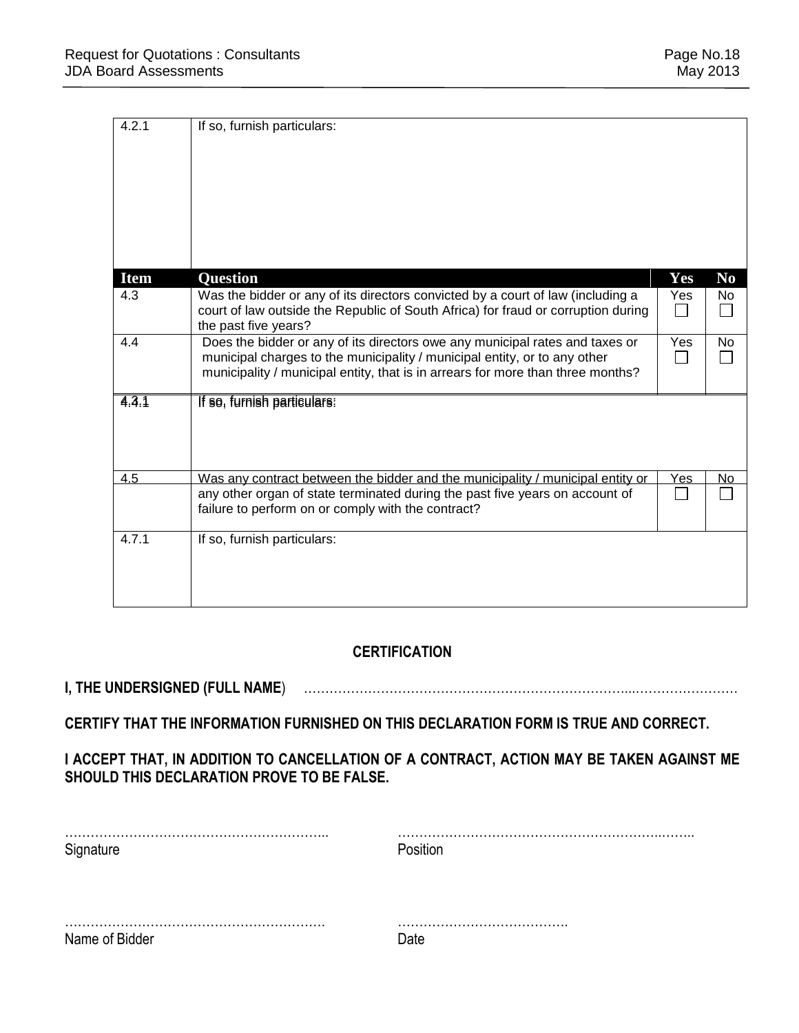| 4.2.1<br>If so, furnish particulars:                                                                      |     |                |
|-----------------------------------------------------------------------------------------------------------|-----|----------------|
| <b>Item</b><br><b>Question</b>                                                                            | Yes | N <sub>0</sub> |
| Was the bidder or any of its directors convicted by a court of law (including a<br>4.3                    | Yes | No.            |
| court of law outside the Republic of South Africa) for fraud or corruption during<br>the past five years? |     |                |
| Does the bidder or any of its directors owe any municipal rates and taxes or<br>4.4                       | Yes | No.            |
| municipal charges to the municipality / municipal entity, or to any other                                 |     |                |
| municipality / municipal entity, that is in arrears for more than three months?                           |     |                |
| 4.3.1<br>If so, furnish particulars:                                                                      |     |                |
|                                                                                                           |     |                |
| 4.5<br>Was any contract between the bidder and the municipality / municipal entity or                     | Yes | No             |
| any other organ of state terminated during the past five years on account of                              |     |                |
| failure to perform on or comply with the contract?                                                        |     |                |
| 4.7.1<br>If so, furnish particulars:                                                                      |     |                |
|                                                                                                           |     |                |
|                                                                                                           |     |                |
|                                                                                                           |     |                |

### **CERTIFICATION**

## **I, THE UNDERSIGNED (FULL NAME**) …………………………………………………………………...……………………

### **CERTIFY THAT THE INFORMATION FURNISHED ON THIS DECLARATION FORM IS TRUE AND CORRECT.**

### **I ACCEPT THAT, IN ADDITION TO CANCELLATION OF A CONTRACT, ACTION MAY BE TAKEN AGAINST ME SHOULD THIS DECLARATION PROVE TO BE FALSE.**

| Signature      | Position   |
|----------------|------------|
|                |            |
|                |            |
| Name of Bidder | ่<br>∩ิลfe |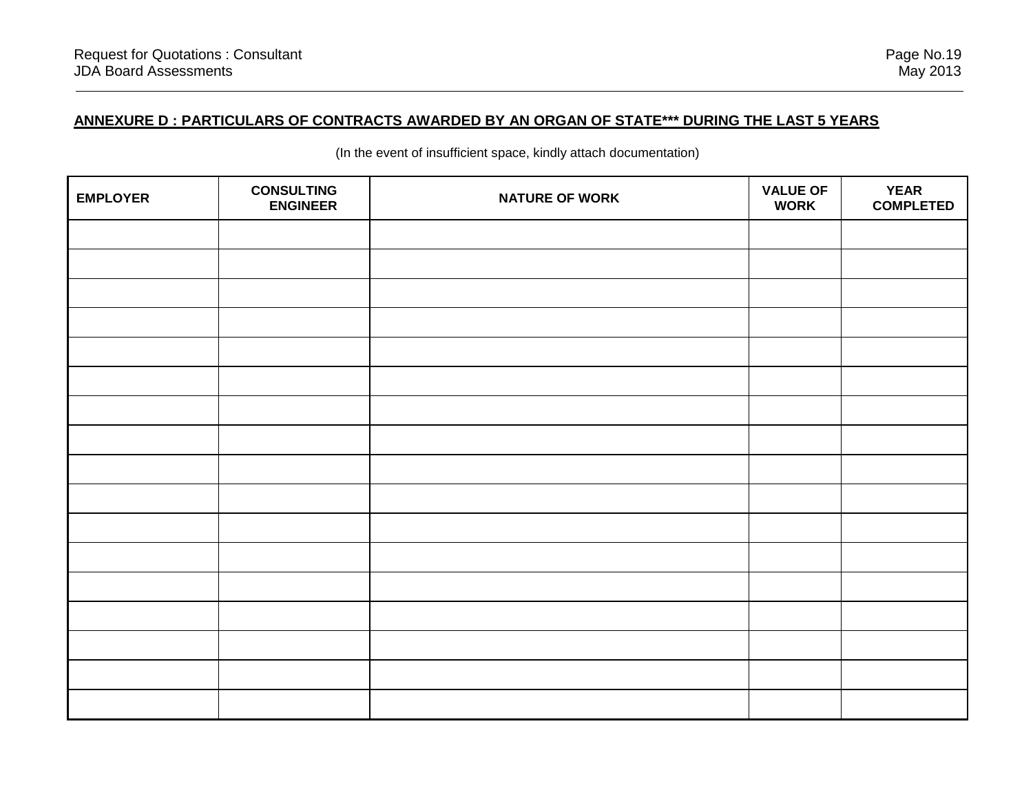### **ANNEXURE D : PARTICULARS OF CONTRACTS AWARDED BY AN ORGAN OF STATE\*\*\* DURING THE LAST 5 YEARS**

| <b>EMPLOYER</b> | <b>CONSULTING</b><br><b>ENGINEER</b> | <b>NATURE OF WORK</b> | <b>VALUE OF</b><br><b>WORK</b> | <b>YEAR</b><br><b>COMPLETED</b> |
|-----------------|--------------------------------------|-----------------------|--------------------------------|---------------------------------|
|                 |                                      |                       |                                |                                 |
|                 |                                      |                       |                                |                                 |
|                 |                                      |                       |                                |                                 |
|                 |                                      |                       |                                |                                 |
|                 |                                      |                       |                                |                                 |
|                 |                                      |                       |                                |                                 |
|                 |                                      |                       |                                |                                 |
|                 |                                      |                       |                                |                                 |
|                 |                                      |                       |                                |                                 |
|                 |                                      |                       |                                |                                 |
|                 |                                      |                       |                                |                                 |
|                 |                                      |                       |                                |                                 |
|                 |                                      |                       |                                |                                 |
|                 |                                      |                       |                                |                                 |
|                 |                                      |                       |                                |                                 |
|                 |                                      |                       |                                |                                 |
|                 |                                      |                       |                                |                                 |

(In the event of insufficient space, kindly attach documentation)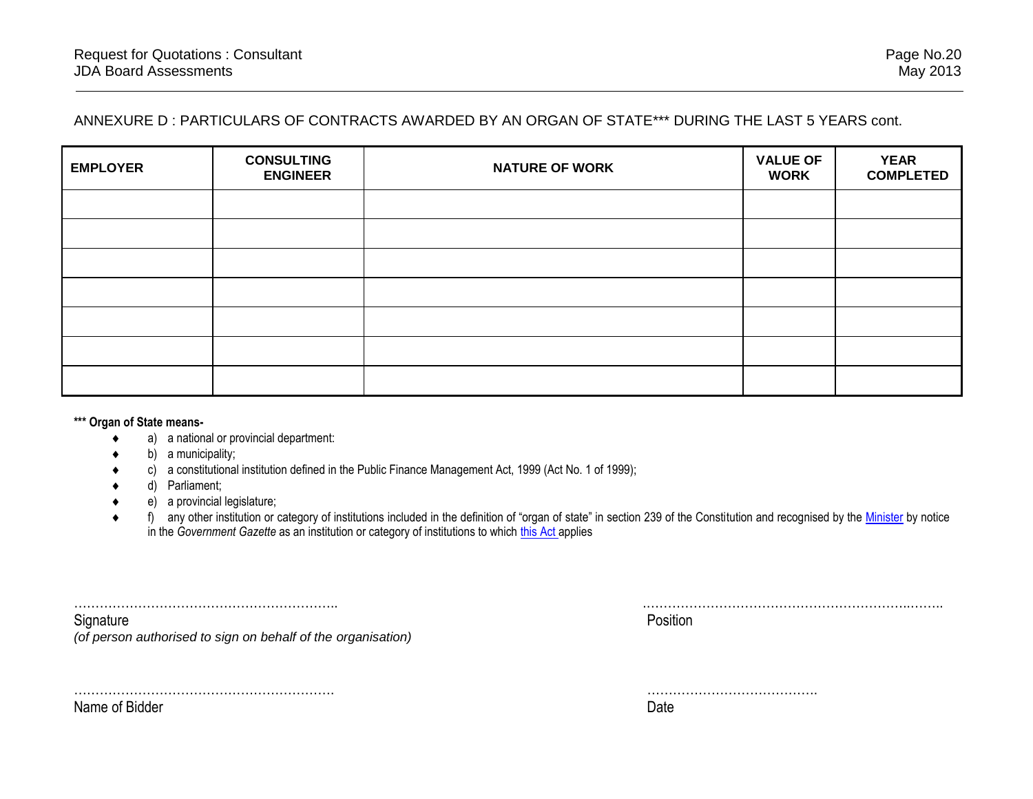### ANNEXURE D : PARTICULARS OF CONTRACTS AWARDED BY AN ORGAN OF STATE\*\*\* DURING THE LAST 5 YEARS cont.

| <b>EMPLOYER</b> | <b>CONSULTING</b><br><b>ENGINEER</b> | <b>NATURE OF WORK</b> | <b>VALUE OF</b><br><b>WORK</b> | <b>YEAR</b><br><b>COMPLETED</b> |
|-----------------|--------------------------------------|-----------------------|--------------------------------|---------------------------------|
|                 |                                      |                       |                                |                                 |
|                 |                                      |                       |                                |                                 |
|                 |                                      |                       |                                |                                 |
|                 |                                      |                       |                                |                                 |
|                 |                                      |                       |                                |                                 |
|                 |                                      |                       |                                |                                 |
|                 |                                      |                       |                                |                                 |

**\*\*\* Organ of State means-**

- a) a national or provincial department:
- b) a municipality;
- c) a constitutional institution defined in the Public Finance Management Act, 1999 (Act No. 1 of 1999);
- d) Parliament;
- e) a provincial legislature;

……………………………………………………. ………………………………….

◆ f) any other institution or category of institutions included in the definition of "organ of state" in section 239 of the Constitution and recognised by the [Minister](javascript:void(0);) by notice in the *Government Gazette* as an institution or category of institutions to which [this Act](javascript:void(0);) applies

| ~ -<br>√l∩r                                                             | 5111 |
|-------------------------------------------------------------------------|------|
| u to sian on hehalf of the .<br>(of perso<br>ithoricad<br>$\sim$<br>. . |      |

Name of Bidder Date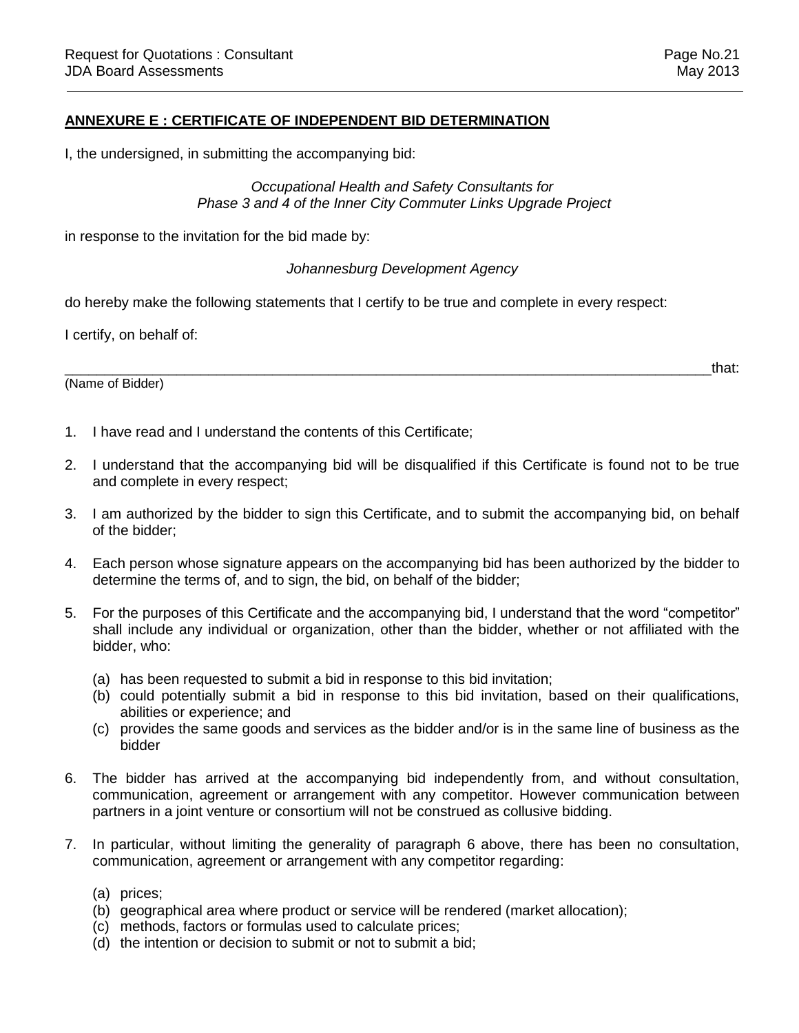#### **ANNEXURE E : CERTIFICATE OF INDEPENDENT BID DETERMINATION**

I, the undersigned, in submitting the accompanying bid:

#### *Occupational Health and Safety Consultants for Phase 3 and 4 of the Inner City Commuter Links Upgrade Project*

in response to the invitation for the bid made by:

#### *Johannesburg Development Agency*

do hereby make the following statements that I certify to be true and complete in every respect:

I certify, on behalf of:

(Name of Bidder)

 $\hbox{and}\hskip1cm \hbox{that}$ 

- 1. I have read and I understand the contents of this Certificate;
- 2. I understand that the accompanying bid will be disqualified if this Certificate is found not to be true and complete in every respect;
- 3. I am authorized by the bidder to sign this Certificate, and to submit the accompanying bid, on behalf of the bidder;
- 4. Each person whose signature appears on the accompanying bid has been authorized by the bidder to determine the terms of, and to sign, the bid, on behalf of the bidder;
- 5. For the purposes of this Certificate and the accompanying bid, I understand that the word "competitor" shall include any individual or organization, other than the bidder, whether or not affiliated with the bidder, who:
	- (a) has been requested to submit a bid in response to this bid invitation;
	- (b) could potentially submit a bid in response to this bid invitation, based on their qualifications, abilities or experience; and
	- (c) provides the same goods and services as the bidder and/or is in the same line of business as the bidder
- 6. The bidder has arrived at the accompanying bid independently from, and without consultation, communication, agreement or arrangement with any competitor. However communication between partners in a joint venture or consortium will not be construed as collusive bidding.
- 7. In particular, without limiting the generality of paragraph 6 above, there has been no consultation, communication, agreement or arrangement with any competitor regarding:
	- (a) prices;
	- (b) geographical area where product or service will be rendered (market allocation);
	- (c) methods, factors or formulas used to calculate prices;
	- $(d)$  the intention or decision to submit or not to submit a bid;